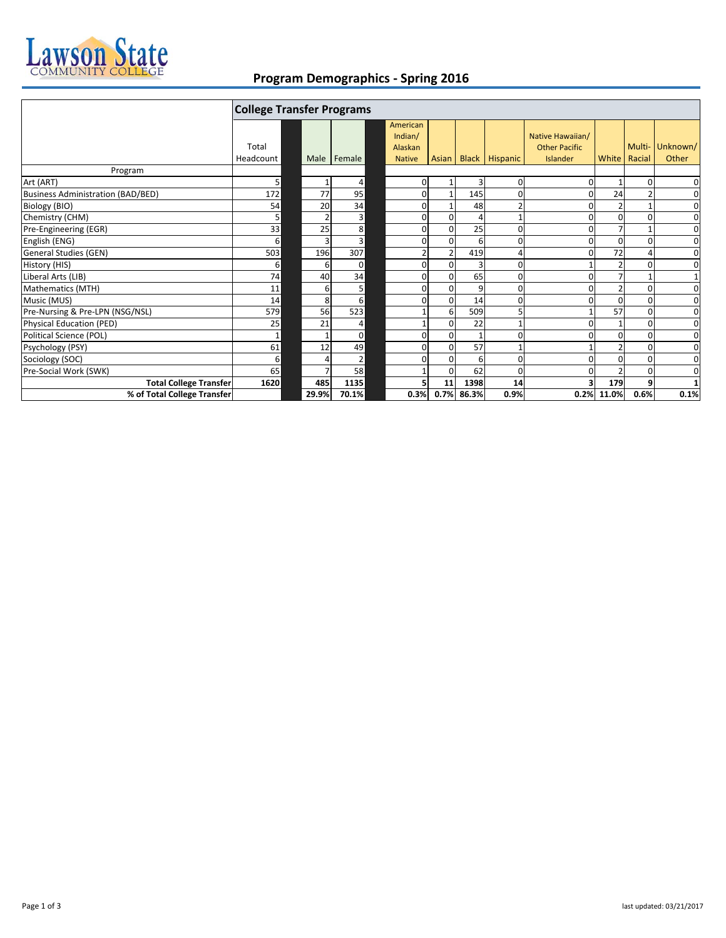

## **Program Demographics ‐ Spring 2016**

|                                          | <b>College Transfer Programs</b> |       |                |                                                 |                |                |                       |                                                      |                |          |                   |
|------------------------------------------|----------------------------------|-------|----------------|-------------------------------------------------|----------------|----------------|-----------------------|------------------------------------------------------|----------------|----------|-------------------|
|                                          | Total<br>Headcount               |       | Male Female    | American<br>Indian/<br>Alaskan<br><b>Native</b> | Asian I        |                | <b>Black Hispanic</b> | Native Hawaiian/<br><b>Other Pacific</b><br>Islander | White   Racial | Multi-   | Unknown/<br>Other |
| Program                                  |                                  |       |                |                                                 |                |                |                       |                                                      |                |          |                   |
| Art (ART)                                | 5 <sup>1</sup>                   |       | 4              | 0                                               |                | 3              | 0                     |                                                      |                | $\Omega$ | 0                 |
| <b>Business Administration (BAD/BED)</b> | 172                              | 77    | 95             | 0                                               |                | 145            |                       |                                                      | 24             |          | $\mathbf 0$       |
| Biology (BIO)                            | 54                               | 20    | 34             | $\mathbf 0$                                     |                | 48             |                       |                                                      |                |          | 0                 |
| Chemistry (CHM)                          | 5 <sup>1</sup>                   |       | 3              | 0                                               | $\Omega$       |                |                       |                                                      | O              | $\Omega$ | $\mathbf 0$       |
| Pre-Engineering (EGR)                    | 33                               | 25    | 8              | $\mathbf 0$                                     | $\Omega$       | 25             | 0                     |                                                      |                |          | 0                 |
| English (ENG)                            | 6 <sup>1</sup>                   |       | 3              | 0                                               | 0              | 6              | 0                     |                                                      | 0              | O        | $\mathbf 0$       |
| General Studies (GEN)                    | 503                              | 196   | 307            |                                                 | 2 <sub>1</sub> | 419            | 4                     |                                                      | 72             |          | $\mathbf 0$       |
| History (HIS)                            | 6                                | 6     | $\Omega$       | $\mathbf 0$                                     | $\Omega$       | $\overline{3}$ | 0                     |                                                      |                | O        | 0                 |
| Liberal Arts (LIB)                       | 74                               | 40    | 34             | $\Omega$                                        | $\Omega$       | 65             | ŋ                     |                                                      |                |          | $1\,$             |
| Mathematics (MTH)                        | 11                               | 6     | 5              | 0                                               | 0              | 9              | ŋ                     |                                                      |                | O        | $\mathbf 0$       |
| Music (MUS)                              | 14                               | 8     | 6              | O                                               | $\Omega$       | 14             |                       |                                                      | $\Omega$       |          | $\mathbf 0$       |
| Pre-Nursing & Pre-LPN (NSG/NSL)          | 579                              | 56    | 523            |                                                 | 6              | 509            | 5                     |                                                      | 57             | $\Omega$ | $\mathbf 0$       |
| <b>Physical Education (PED)</b>          | 25                               | 21    | 4              |                                                 | $\Omega$       | 22             |                       |                                                      |                | $\Omega$ | $\mathbf 0$       |
| Political Science (POL)                  | 1                                |       | $\mathbf 0$    | 0                                               | $\Omega$       | $\mathbf{1}$   | ŋ                     |                                                      | $\Omega$       | $\Omega$ | 0                 |
| Psychology (PSY)                         | 61                               | 12    | 49             | 0                                               | $\Omega$       | 57             |                       |                                                      |                | 0        | $\mathbf 0$       |
| Sociology (SOC)                          | $6 \mid$                         |       | $\overline{2}$ | 0                                               | $\Omega$       | 6              | 0                     |                                                      |                |          | 0                 |
| Pre-Social Work (SWK)                    | 65                               |       | 58             |                                                 | 0              | 62             | 0                     |                                                      |                | 0        | $\mathbf 0$       |
| <b>Total College Transfer</b>            | 1620                             | 485   | 1135           |                                                 | 11             | 1398           | 14                    |                                                      | 179            | q        | $\mathbf{1}$      |
| % of Total College Transfer              |                                  | 29.9% | 70.1%          | 0.3%                                            | 0.7%           | 86.3%          | 0.9%                  | 0.2%                                                 | 11.0%          | 0.6%     | 0.1%              |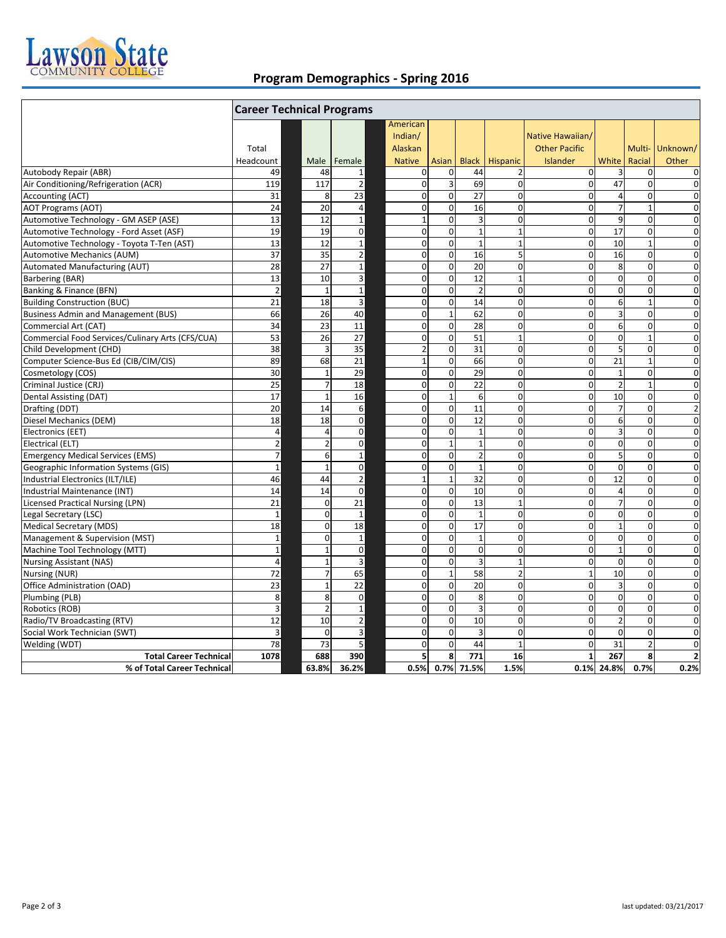

## **Program Demographics ‐ Spring 2016**

|                                                  | <b>Career Technical Programs</b> |                          |                |                |              |                         |                |                      |                         |                |                         |
|--------------------------------------------------|----------------------------------|--------------------------|----------------|----------------|--------------|-------------------------|----------------|----------------------|-------------------------|----------------|-------------------------|
|                                                  |                                  |                          |                | American       |              |                         |                |                      |                         |                |                         |
|                                                  |                                  |                          |                | Indian/        |              |                         |                | Native Hawaiian/     |                         |                |                         |
|                                                  | Total                            |                          |                | Alaskan        |              |                         |                | <b>Other Pacific</b> |                         |                | Multi- Unknown/         |
|                                                  | Headcount                        | Male                     | Female         | <b>Native</b>  | Asian        | <b>Black</b>            | Hispanic       | Islander             | White                   | Racial         | Other                   |
| Autobody Repair (ABR)                            | 49                               | 48                       | $\mathbf 1$    | $\mathbf 0$    | 0            | 44                      | $\overline{2}$ | $\mathbf{0}$         | 3                       | $\overline{0}$ | 0                       |
| Air Conditioning/Refrigeration (ACR)             | 119                              | 117                      | $\overline{2}$ | $\mathbf 0$    | 3            | 69                      | $\overline{0}$ | $\mathbf{0}$         | 47                      | $\mathbf{0}$   | $\mathbf 0$             |
| Accounting (ACT)                                 | 31                               | 8                        | 23             | $\mathbf 0$    | $\mathbf 0$  | 27                      | $\mathbf 0$    | $\overline{0}$       | $\overline{4}$          | $\Omega$       | $\mathbf 0$             |
| <b>AOT Programs (AOT)</b>                        | 24                               | 20                       | $\overline{4}$ | $\mathbf 0$    | $\mathbf 0$  | 16                      | $\mathbf 0$    | $\mathbf{0}$         | $\overline{7}$          | $\mathbf{1}$   | $\mathbf 0$             |
| Automotive Technology - GM ASEP (ASE)            | 13                               | 12                       | $\mathbf{1}$   | $\mathbf{1}$   | $\Omega$     | $\overline{3}$          | $\Omega$       | $\Omega$             | 9                       | $\Omega$       | $\Omega$                |
| Automotive Technology - Ford Asset (ASF)         | 19                               | 19                       | $\mathbf 0$    | $\mathbf 0$    | $\mathbf 0$  | $\mathbf{1}$            | $\mathbf{1}$   | $\Omega$             | 17                      | $\mathbf 0$    | $\mathbf 0$             |
| Automotive Technology - Toyota T-Ten (AST)       | 13                               | 12                       | $\mathbf{1}$   | $\mathbf 0$    | $\mathbf 0$  | $\mathbf{1}$            | $\mathbf{1}$   | $\Omega$             | 10                      | $\mathbf{1}$   | $\mathbf 0$             |
| <b>Automotive Mechanics (AUM)</b>                | 37                               | 35                       | $\overline{2}$ | $\mathbf 0$    | $\mathbf 0$  | 16                      | 5              | $\overline{0}$       | 16                      | $\mathbf 0$    | $\mathbf 0$             |
| <b>Automated Manufacturing (AUT)</b>             | 28                               | 27                       | $\mathbf{1}$   | $\mathbf 0$    | $\mathbf 0$  | 20                      | $\mathbf 0$    | $\overline{0}$       | $\overline{8}$          | $\mathbf 0$    | $\mathbf 0$             |
| Barbering (BAR)                                  | 13                               | 10                       | 3              | $\mathbf 0$    | $\mathbf 0$  | 12                      | $\mathbf{1}$   | $\overline{0}$       | $\mathbf 0$             | $\mathbf{0}$   | $\mathbf 0$             |
| Banking & Finance (BFN)                          | $\overline{2}$                   | $\mathbf{1}$             | $\mathbf 1$    | $\mathbf 0$    | $\mathbf 0$  | $\overline{2}$          | $\mathbf 0$    | $\overline{0}$       | $\mathbf 0$             | $\mathbf 0$    | $\mathbf 0$             |
| <b>Building Construction (BUC)</b>               | 21                               | 18                       | $\overline{3}$ | $\mathbf 0$    | $\mathbf 0$  | 14                      | $\mathbf 0$    | $\overline{0}$       | 6                       | $\mathbf{1}$   | $\overline{0}$          |
| <b>Business Admin and Management (BUS)</b>       | 66                               | 26                       | 40             | $\mathbf 0$    | $\mathbf{1}$ | 62                      | $\mathbf 0$    | $\overline{0}$       | $\overline{\mathbf{3}}$ | $\overline{0}$ | $\overline{0}$          |
| Commercial Art (CAT)                             | 34                               | 23                       | 11             | $\Omega$       | $\mathbf 0$  | 28                      | $\Omega$       | $\Omega$             | 6                       | $\Omega$       | $\Omega$                |
| Commercial Food Services/Culinary Arts (CFS/CUA) | 53                               | 26                       | 27             | $\mathbf 0$    | $\mathbf 0$  | 51                      | $\mathbf{1}$   | $\Omega$             | $\pmb{0}$               | $\mathbf{1}$   | $\mathbf 0$             |
| Child Development (CHD)                          | 38                               | 3                        | 35             | $\overline{2}$ | $\mathbf 0$  | 31                      | $\mathbf 0$    | $\overline{0}$       | 5                       | $\mathbf 0$    | $\mathbf 0$             |
| Computer Science-Bus Ed (CIB/CIM/CIS)            | 89                               | 68                       | 21             | $\mathbf 1$    | $\mathbf 0$  | 66                      | $\mathbf 0$    | $\overline{0}$       | 21                      | $\mathbf{1}$   | $\mathbf 0$             |
| Cosmetology (COS)                                | 30                               | $\overline{1}$           | 29             | $\mathbf 0$    | $\mathbf 0$  | 29                      | $\mathbf 0$    | $\overline{0}$       | $\mathbf{1}$            | $\mathbf 0$    | $\mathbf 0$             |
| Criminal Justice (CRJ)                           | 25                               | $\overline{7}$           | 18             | $\mathbf 0$    | $\mathbf 0$  | 22                      | $\mathbf 0$    | $\mathbf{0}$         | $\overline{2}$          | $\mathbf{1}$   | 0                       |
| Dental Assisting (DAT)                           | 17                               | $\overline{1}$           | 16             | $\mathbf 0$    | $\mathbf{1}$ | 6                       | $\mathbf 0$    | $\mathbf{0}$         | 10                      | $\mathbf 0$    | $\mathbf 0$             |
| Drafting (DDT)                                   | 20                               | 14                       | 6              | $\mathbf 0$    | $\mathbf 0$  | 11                      | $\mathbf 0$    | $\Omega$             | $\overline{7}$          | $\mathbf 0$    | $\overline{2}$          |
| Diesel Mechanics (DEM)                           | 18                               | 18                       | $\mathbf 0$    | $\mathbf 0$    | $\Omega$     | 12                      | $\mathbf 0$    | $\Omega$             | 6                       | $\Omega$       | $\Omega$                |
| Electronics (EET)                                | $\sqrt{4}$                       | $\overline{a}$           | $\Omega$       | $\Omega$       | $\mathbf 0$  | $\overline{1}$          | $\Omega$       | $\Omega$             | $\mathsf 3$             | $\Omega$       | $\mathbf 0$             |
| Electrical (ELT)                                 | $\overline{\mathbf{c}}$          | $\overline{\phantom{a}}$ | 0              | $\Omega$       | $\mathbf{1}$ | $\mathbf{1}$            | $\Omega$       | $\Omega$             | $\mathbf 0$             | $\Omega$       | $\Omega$                |
| <b>Emergency Medical Services (EMS)</b>          | $\overline{7}$                   | 6                        | $\mathbf 1$    | $\mathbf 0$    | $\mathbf 0$  | $\overline{2}$          | $\mathbf 0$    | $\overline{0}$       | 5                       | $\mathbf 0$    | $\mathbf 0$             |
| <b>Geographic Information Systems (GIS)</b>      | $\mathbf 1$                      | $\overline{1}$           | $\mathbf 0$    | $\mathbf 0$    | $\mathbf 0$  | $\mathbf{1}$            | $\mathbf 0$    | $\overline{0}$       | $\mathbf 0$             | $\mathbf 0$    | $\mathbf 0$             |
| Industrial Electronics (ILT/ILE)                 | 46                               | 44                       | $\mathbf 2$    | $\mathbf{1}$   | $\mathbf 1$  | 32                      | $\mathbf 0$    | $\overline{0}$       | 12                      | $\mathbf 0$    | $\mathbf 0$             |
| Industrial Maintenance (INT)                     | 14                               | 14                       | $\mathbf 0$    | $\mathbf 0$    | $\mathbf 0$  | 10                      | $\mathbf 0$    | $\overline{0}$       | $\overline{4}$          | $\mathbf{0}$   | $\mathbf 0$             |
| <b>Licensed Practical Nursing (LPN)</b>          | 21                               | $\mathbf 0$              | 21             | $\mathbf 0$    | $\mathbf 0$  | 13                      | $\mathbf{1}$   | $\overline{0}$       | $\overline{7}$          | $\mathbf{0}$   | $\mathbf 0$             |
| Legal Secretary (LSC)                            | $\mathbf{1}$                     | $\Omega$                 | $\mathbf{1}$   | $\mathbf 0$    | $\mathbf 0$  | $\mathbf{1}$            | $\mathbf 0$    | $\overline{0}$       | $\mathbf 0$             | $\mathbf 0$    | $\mathbf 0$             |
| Medical Secretary (MDS)                          | 18                               | $\Omega$                 | 18             | $\mathbf 0$    | $\mathbf 0$  | 17                      | $\mathbf 0$    | $\overline{0}$       | $\mathbf{1}$            | $\mathbf 0$    | $\overline{0}$          |
| Management & Supervision (MST)                   | $\mathbf 1$                      | $\Omega$                 | $\mathbf{1}$   | $\Omega$       | $\Omega$     | $\mathbf{1}$            | $\Omega$       | $\Omega$             | $\mathbf 0$             | $\Omega$       | $\Omega$                |
| Machine Tool Technology (MTT)                    | $\mathbf 1$                      | $\overline{1}$           | $\mathbf 0$    | $\Omega$       | $\Omega$     | $\Omega$                | $\Omega$       | $\Omega$             | $\mathbf 1$             | $\Omega$       | $\Omega$                |
| <b>Nursing Assistant (NAS)</b>                   | $\overline{4}$                   | $\mathbf{1}$             | 3              | $\mathbf 0$    | $\mathbf 0$  | $\overline{\mathbf{3}}$ | $\mathbf{1}$   | $\overline{0}$       | $\mathbf 0$             | $\mathbf 0$    | $\mathbf 0$             |
| Nursing (NUR)                                    | 72                               | $\overline{7}$           | 65             | $\mathbf 0$    | $1\,$        | 58                      | $\overline{2}$ | $1\overline{ }$      | 10                      | $\mathbf 0$    | $\mathbf 0$             |
| Office Administration (OAD)                      | 23                               | $\overline{1}$           | 22             | $\mathbf 0$    | $\mathbf 0$  | 20                      | 0              | $\overline{0}$       | 3                       | $\mathbf{0}$   | $\mathbf 0$             |
| Plumbing (PLB)                                   | 8                                | 8                        | $\mathbf 0$    | $\mathbf 0$    | $\mathbf 0$  | 8                       | $\mathbf 0$    | $\Omega$             | $\mathbf 0$             | $\mathbf 0$    | $\mathbf 0$             |
| Robotics (ROB)                                   | $\overline{3}$                   | $\overline{2}$           | $\mathbf 1$    | $\mathbf 0$    | $\mathbf 0$  | 3                       | $\mathbf 0$    | $\overline{0}$       | 0                       | $\mathbf 0$    | $\mathbf 0$             |
| Radio/TV Broadcasting (RTV)                      | 12                               | 10                       | $\overline{2}$ | $\mathbf 0$    | $\mathbf 0$  | 10                      | $\mathbf 0$    | $\Omega$             | $\overline{2}$          | $\Omega$       | $\mathbf 0$             |
| Social Work Technician (SWT)                     | $\overline{3}$                   | $\Omega$                 | 3              | $\mathbf 0$    | $\mathbf 0$  | $\overline{3}$          | $\mathbf 0$    | $\overline{0}$       | $\mathbf 0$             | $\mathbf{0}$   | $\mathbf 0$             |
| Welding (WDT)                                    | 78                               | 73                       | 5              | $\Omega$       | $\Omega$     | 44                      | $\mathbf{1}$   | $\Omega$             | 31                      | $\overline{2}$ | $\Omega$                |
| <b>Total Career Technical</b>                    | 1078                             | 688                      | 390            | 5              | 8            | 771                     | 16             | $\mathbf{1}$         | 267                     | 8              | $\overline{\mathbf{2}}$ |
| % of Total Career Technical                      |                                  | 63.8%                    | 36.2%          | 0.5%           | 0.7%         | 71.5%                   | 1.5%           |                      | 0.1% 24.8%              | 0.7%           | 0.2%                    |
|                                                  |                                  |                          |                |                |              |                         |                |                      |                         |                |                         |